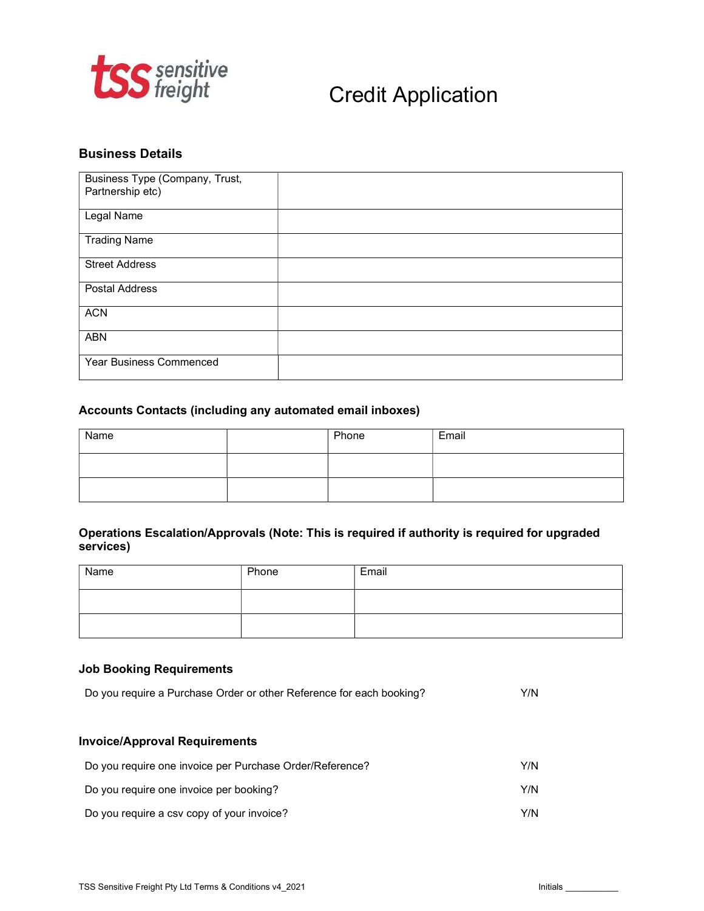

# Credit Application

## Business Details

| Business Type (Company, Trust,<br>Partnership etc) |  |
|----------------------------------------------------|--|
| Legal Name                                         |  |
| <b>Trading Name</b>                                |  |
| <b>Street Address</b>                              |  |
| <b>Postal Address</b>                              |  |
| <b>ACN</b>                                         |  |
| <b>ABN</b>                                         |  |
| Year Business Commenced                            |  |

## Accounts Contacts (including any automated email inboxes)

| Name | Phone | Email |
|------|-------|-------|
|      |       |       |
|      |       |       |

## Operations Escalation/Approvals (Note: This is required if authority is required for upgraded services)

| Name | Phone | Email |
|------|-------|-------|
|      |       |       |
|      |       |       |

#### Job Booking Requirements

| Do you require a Purchase Order or other Reference for each booking? |     |  |
|----------------------------------------------------------------------|-----|--|
|                                                                      |     |  |
| <b>Invoice/Approval Requirements</b>                                 |     |  |
| Do you require one invoice per Purchase Order/Reference?             | Y/N |  |
| Do you require one invoice per booking?                              | Y/N |  |
| Do you require a csv copy of your invoice?                           | Y/N |  |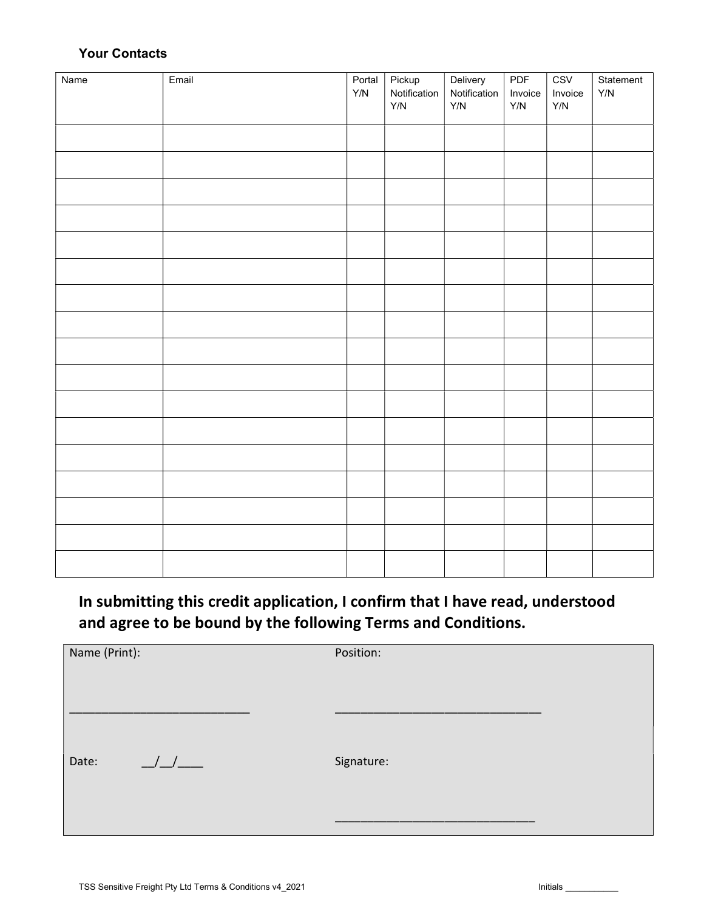## Your Contacts

| Name | Email | Portal<br>Y/N | Pickup<br>Notification<br>$\mathsf{Y}/\mathsf{N}$ | Delivery<br>Notification<br>$\mathsf{Y}/\mathsf{N}$ | PDF<br>Invoice<br>Y/N | CSV<br>Invoice<br>Y/N | Statement<br>Y/N |
|------|-------|---------------|---------------------------------------------------|-----------------------------------------------------|-----------------------|-----------------------|------------------|
|      |       |               |                                                   |                                                     |                       |                       |                  |
|      |       |               |                                                   |                                                     |                       |                       |                  |
|      |       |               |                                                   |                                                     |                       |                       |                  |
|      |       |               |                                                   |                                                     |                       |                       |                  |
|      |       |               |                                                   |                                                     |                       |                       |                  |
|      |       |               |                                                   |                                                     |                       |                       |                  |
|      |       |               |                                                   |                                                     |                       |                       |                  |
|      |       |               |                                                   |                                                     |                       |                       |                  |
|      |       |               |                                                   |                                                     |                       |                       |                  |
|      |       |               |                                                   |                                                     |                       |                       |                  |
|      |       |               |                                                   |                                                     |                       |                       |                  |
|      |       |               |                                                   |                                                     |                       |                       |                  |
|      |       |               |                                                   |                                                     |                       |                       |                  |
|      |       |               |                                                   |                                                     |                       |                       |                  |
|      |       |               |                                                   |                                                     |                       |                       |                  |
|      |       |               |                                                   |                                                     |                       |                       |                  |
|      |       |               |                                                   |                                                     |                       |                       |                  |

In submitting this credit application, I confirm that I have read, understood and agree to be bound by the following Terms and Conditions.

| Name (Print):          | Position:  |
|------------------------|------------|
|                        |            |
| $\frac{1}{1}$<br>Date: | Signature: |
|                        |            |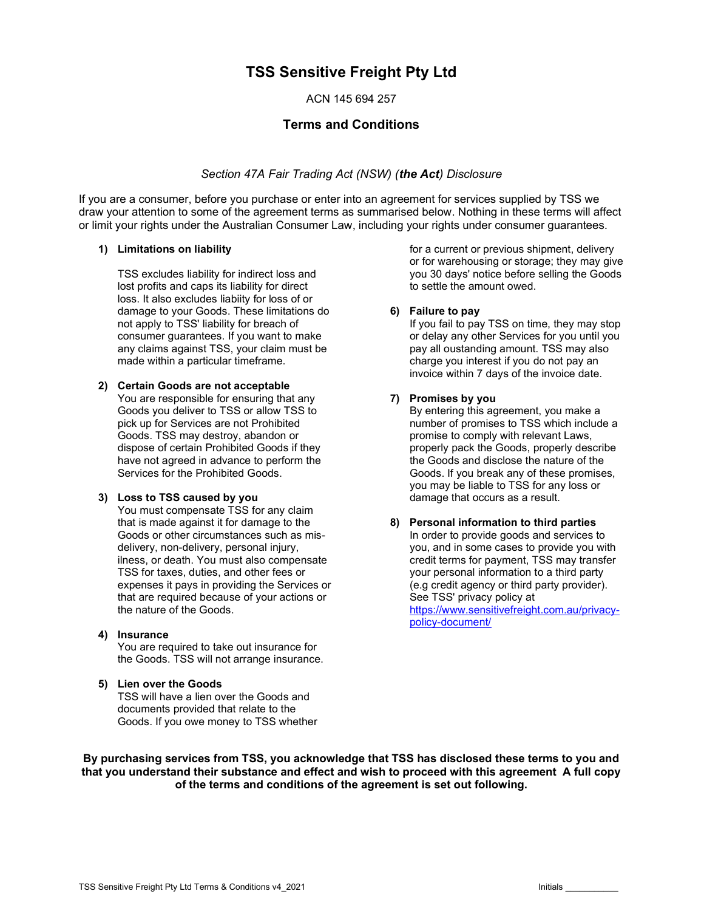# TSS Sensitive Freight Pty Ltd

ACN 145 694 257

## Terms and Conditions

#### Section 47A Fair Trading Act (NSW) (the Act) Disclosure

If you are a consumer, before you purchase or enter into an agreement for services supplied by TSS we draw your attention to some of the agreement terms as summarised below. Nothing in these terms will affect or limit your rights under the Australian Consumer Law, including your rights under consumer guarantees.

#### 1) Limitations on liability

TSS excludes liability for indirect loss and lost profits and caps its liability for direct loss. It also excludes liabiity for loss of or damage to your Goods. These limitations do not apply to TSS' liability for breach of consumer guarantees. If you want to make any claims against TSS, your claim must be made within a particular timeframe.

#### 2) Certain Goods are not acceptable

You are responsible for ensuring that any Goods you deliver to TSS or allow TSS to pick up for Services are not Prohibited Goods. TSS may destroy, abandon or dispose of certain Prohibited Goods if they have not agreed in advance to perform the Services for the Prohibited Goods.

#### 3) Loss to TSS caused by you

You must compensate TSS for any claim that is made against it for damage to the Goods or other circumstances such as misdelivery, non-delivery, personal injury, ilness, or death. You must also compensate TSS for taxes, duties, and other fees or expenses it pays in providing the Services or that are required because of your actions or the nature of the Goods.

#### 4) Insurance

You are required to take out insurance for the Goods. TSS will not arrange insurance.

#### 5) Lien over the Goods

TSS will have a lien over the Goods and documents provided that relate to the Goods. If you owe money to TSS whether for a current or previous shipment, delivery or for warehousing or storage; they may give you 30 days' notice before selling the Goods to settle the amount owed.

#### 6) Failure to pay

If you fail to pay TSS on time, they may stop or delay any other Services for you until you pay all oustanding amount. TSS may also charge you interest if you do not pay an invoice within 7 days of the invoice date.

#### 7) Promises by you

By entering this agreement, you make a number of promises to TSS which include a promise to comply with relevant Laws, properly pack the Goods, properly describe the Goods and disclose the nature of the Goods. If you break any of these promises, you may be liable to TSS for any loss or damage that occurs as a result.

#### 8) Personal information to third parties In order to provide goods and services to you, and in some cases to provide you with credit terms for payment, TSS may transfer your personal information to a third party (e.g credit agency or third party provider). See TSS' privacy policy at https://www.sensitivefreight.com.au/privacypolicy-document/

By purchasing services from TSS, you acknowledge that TSS has disclosed these terms to you and that you understand their substance and effect and wish to proceed with this agreement A full copy of the terms and conditions of the agreement is set out following.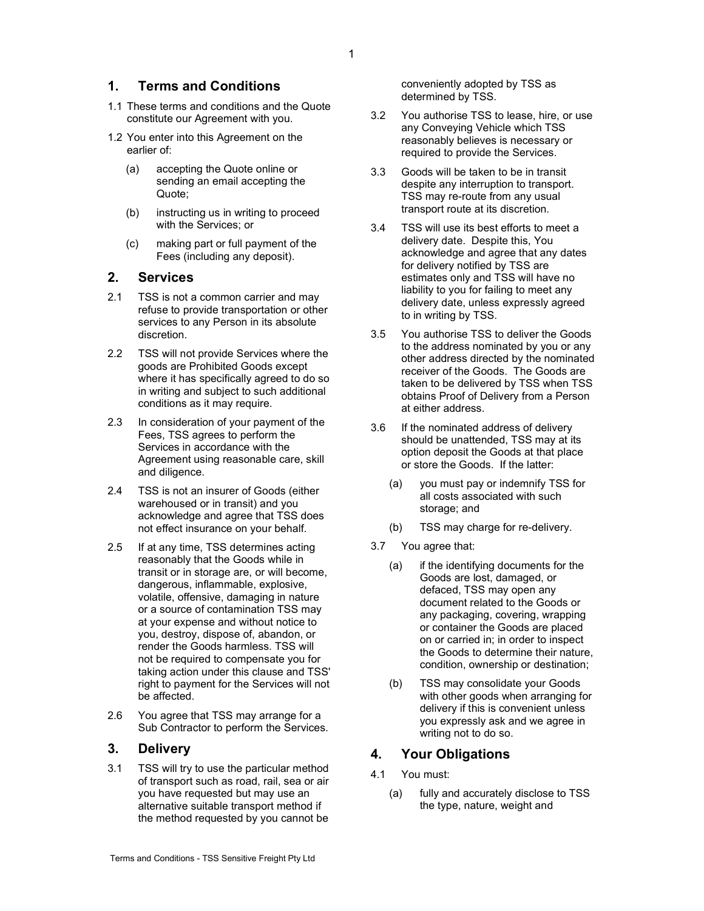#### 1. Terms and Conditions

- 1.1 These terms and conditions and the Quote constitute our Agreement with you.
- 1.2 You enter into this Agreement on the earlier of:
	- (a) accepting the Quote online or sending an email accepting the Quote;
	- (b) instructing us in writing to proceed with the Services; or
	- (c) making part or full payment of the Fees (including any deposit).

## 2. Services

- 2.1 TSS is not a common carrier and may refuse to provide transportation or other services to any Person in its absolute discretion.
- 2.2 TSS will not provide Services where the goods are Prohibited Goods except where it has specifically agreed to do so in writing and subject to such additional conditions as it may require.
- 2.3 In consideration of your payment of the Fees, TSS agrees to perform the Services in accordance with the Agreement using reasonable care, skill and diligence.
- 2.4 TSS is not an insurer of Goods (either warehoused or in transit) and you acknowledge and agree that TSS does not effect insurance on your behalf.
- 2.5 If at any time, TSS determines acting reasonably that the Goods while in transit or in storage are, or will become, dangerous, inflammable, explosive, volatile, offensive, damaging in nature or a source of contamination TSS may at your expense and without notice to you, destroy, dispose of, abandon, or render the Goods harmless. TSS will not be required to compensate you for taking action under this clause and TSS' right to payment for the Services will not be affected.
- 2.6 You agree that TSS may arrange for a Sub Contractor to perform the Services.

## 3. Delivery

3.1 TSS will try to use the particular method of transport such as road, rail, sea or air you have requested but may use an alternative suitable transport method if the method requested by you cannot be conveniently adopted by TSS as determined by TSS.

- 3.2 You authorise TSS to lease, hire, or use any Conveying Vehicle which TSS reasonably believes is necessary or required to provide the Services.
- 3.3 Goods will be taken to be in transit despite any interruption to transport. TSS may re-route from any usual transport route at its discretion.
- 3.4 TSS will use its best efforts to meet a delivery date. Despite this, You acknowledge and agree that any dates for delivery notified by TSS are estimates only and TSS will have no liability to you for failing to meet any delivery date, unless expressly agreed to in writing by TSS.
- 3.5 You authorise TSS to deliver the Goods to the address nominated by you or any other address directed by the nominated receiver of the Goods. The Goods are taken to be delivered by TSS when TSS obtains Proof of Delivery from a Person at either address.
- 3.6 If the nominated address of delivery should be unattended, TSS may at its option deposit the Goods at that place or store the Goods. If the latter:
	- (a) you must pay or indemnify TSS for all costs associated with such storage; and
	- (b) TSS may charge for re-delivery.
- 3.7 You agree that:
	- (a) if the identifying documents for the Goods are lost, damaged, or defaced, TSS may open any document related to the Goods or any packaging, covering, wrapping or container the Goods are placed on or carried in; in order to inspect the Goods to determine their nature, condition, ownership or destination;
	- (b) TSS may consolidate your Goods with other goods when arranging for delivery if this is convenient unless you expressly ask and we agree in writing not to do so.

## 4. Your Obligations

- 4.1 You must:
	- (a) fully and accurately disclose to TSS the type, nature, weight and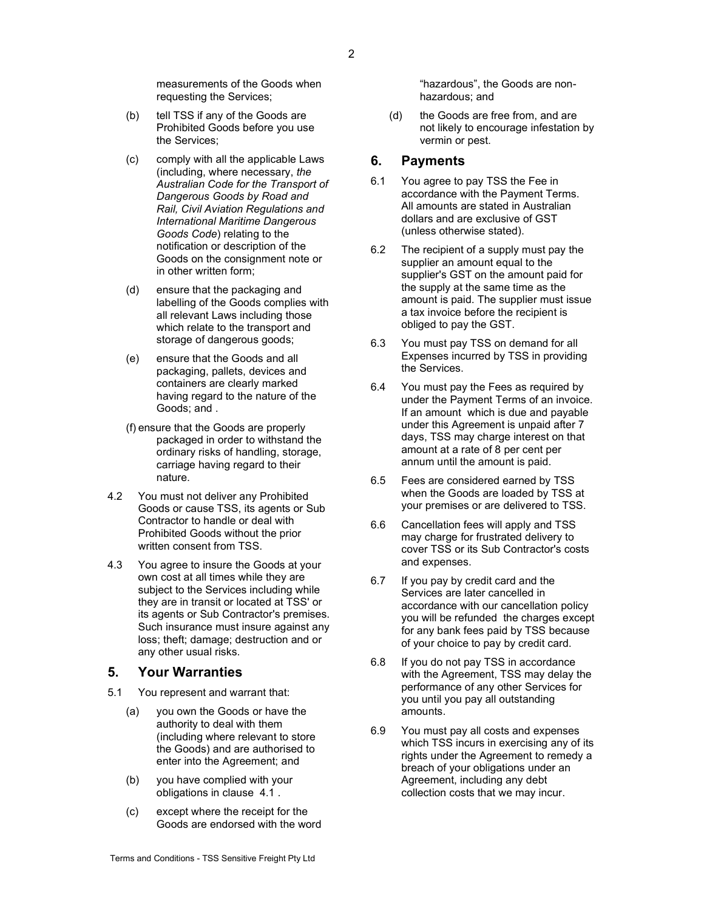measurements of the Goods when requesting the Services;

- (b) tell TSS if any of the Goods are Prohibited Goods before you use the Services;
- (c) comply with all the applicable Laws (including, where necessary, the Australian Code for the Transport of Dangerous Goods by Road and Rail, Civil Aviation Regulations and International Maritime Dangerous Goods Code) relating to the notification or description of the Goods on the consignment note or in other written form;
- (d) ensure that the packaging and labelling of the Goods complies with all relevant Laws including those which relate to the transport and storage of dangerous goods;
- (e) ensure that the Goods and all packaging, pallets, devices and containers are clearly marked having regard to the nature of the Goods; and .
- (f) ensure that the Goods are properly packaged in order to withstand the ordinary risks of handling, storage, carriage having regard to their nature.
- 4.2 You must not deliver any Prohibited Goods or cause TSS, its agents or Sub Contractor to handle or deal with Prohibited Goods without the prior written consent from TSS.
- 4.3 You agree to insure the Goods at your own cost at all times while they are subject to the Services including while they are in transit or located at TSS' or its agents or Sub Contractor's premises. Such insurance must insure against any loss; theft; damage; destruction and or any other usual risks.

#### 5. Your Warranties

- 5.1 You represent and warrant that:
	- (a) you own the Goods or have the authority to deal with them (including where relevant to store the Goods) and are authorised to enter into the Agreement; and
	- (b) you have complied with your obligations in clause 4.1 .
	- (c) except where the receipt for the Goods are endorsed with the word

"hazardous", the Goods are nonhazardous; and

(d) the Goods are free from, and are not likely to encourage infestation by vermin or pest.

#### 6. Payments

- 6.1 You agree to pay TSS the Fee in accordance with the Payment Terms. All amounts are stated in Australian dollars and are exclusive of GST (unless otherwise stated).
- 6.2 The recipient of a supply must pay the supplier an amount equal to the supplier's GST on the amount paid for the supply at the same time as the amount is paid. The supplier must issue a tax invoice before the recipient is obliged to pay the GST.
- 6.3 You must pay TSS on demand for all Expenses incurred by TSS in providing the Services.
- 6.4 You must pay the Fees as required by under the Payment Terms of an invoice. If an amount which is due and payable under this Agreement is unpaid after 7 days, TSS may charge interest on that amount at a rate of 8 per cent per annum until the amount is paid.
- 6.5 Fees are considered earned by TSS when the Goods are loaded by TSS at your premises or are delivered to TSS.
- 6.6 Cancellation fees will apply and TSS may charge for frustrated delivery to cover TSS or its Sub Contractor's costs and expenses.
- 6.7 If you pay by credit card and the Services are later cancelled in accordance with our cancellation policy you will be refunded the charges except for any bank fees paid by TSS because of your choice to pay by credit card.
- 6.8 If you do not pay TSS in accordance with the Agreement, TSS may delay the performance of any other Services for you until you pay all outstanding amounts.
- 6.9 You must pay all costs and expenses which TSS incurs in exercising any of its rights under the Agreement to remedy a breach of your obligations under an Agreement, including any debt collection costs that we may incur.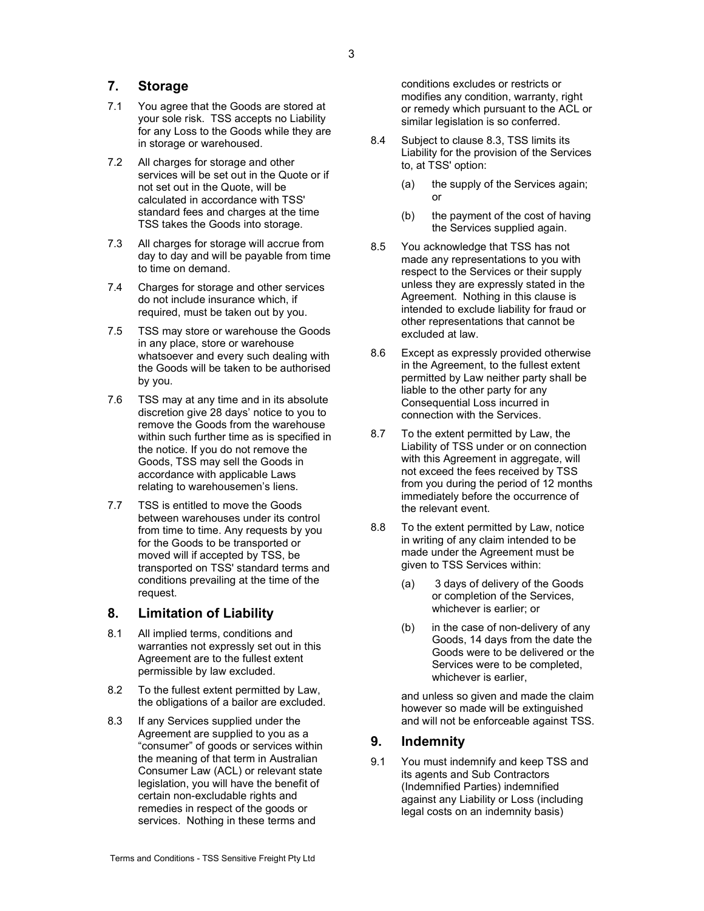## 7. Storage

- 7.1 You agree that the Goods are stored at your sole risk. TSS accepts no Liability for any Loss to the Goods while they are in storage or warehoused.
- 7.2 All charges for storage and other services will be set out in the Quote or if not set out in the Quote, will be calculated in accordance with TSS' standard fees and charges at the time TSS takes the Goods into storage.
- 7.3 All charges for storage will accrue from day to day and will be payable from time to time on demand.
- 7.4 Charges for storage and other services do not include insurance which, if required, must be taken out by you.
- 7.5 TSS may store or warehouse the Goods in any place, store or warehouse whatsoever and every such dealing with the Goods will be taken to be authorised by you.
- 7.6 TSS may at any time and in its absolute discretion give 28 days' notice to you to remove the Goods from the warehouse within such further time as is specified in the notice. If you do not remove the Goods, TSS may sell the Goods in accordance with applicable Laws relating to warehousemen's liens.
- 7.7 TSS is entitled to move the Goods between warehouses under its control from time to time. Any requests by you for the Goods to be transported or moved will if accepted by TSS, be transported on TSS' standard terms and conditions prevailing at the time of the request.

## 8. Limitation of Liability

- 8.1 All implied terms, conditions and warranties not expressly set out in this Agreement are to the fullest extent permissible by law excluded.
- 8.2 To the fullest extent permitted by Law, the obligations of a bailor are excluded.
- 8.3 If any Services supplied under the Agreement are supplied to you as a "consumer" of goods or services within the meaning of that term in Australian Consumer Law (ACL) or relevant state legislation, you will have the benefit of certain non-excludable rights and remedies in respect of the goods or services. Nothing in these terms and

conditions excludes or restricts or modifies any condition, warranty, right or remedy which pursuant to the ACL or similar legislation is so conferred.

- 8.4 Subject to clause 8.3, TSS limits its Liability for the provision of the Services to, at TSS' option:
	- (a) the supply of the Services again; or
	- (b) the payment of the cost of having the Services supplied again.
- 8.5 You acknowledge that TSS has not made any representations to you with respect to the Services or their supply unless they are expressly stated in the Agreement. Nothing in this clause is intended to exclude liability for fraud or other representations that cannot be excluded at law.
- 8.6 Except as expressly provided otherwise in the Agreement, to the fullest extent permitted by Law neither party shall be liable to the other party for any Consequential Loss incurred in connection with the Services.
- 8.7 To the extent permitted by Law, the Liability of TSS under or on connection with this Agreement in aggregate, will not exceed the fees received by TSS from you during the period of 12 months immediately before the occurrence of the relevant event.
- 8.8 To the extent permitted by Law, notice in writing of any claim intended to be made under the Agreement must be given to TSS Services within:
	- (a) 3 days of delivery of the Goods or completion of the Services, whichever is earlier; or
	- (b) in the case of non-delivery of any Goods, 14 days from the date the Goods were to be delivered or the Services were to be completed, whichever is earlier,

and unless so given and made the claim however so made will be extinguished and will not be enforceable against TSS.

#### 9. Indemnity

9.1 You must indemnify and keep TSS and its agents and Sub Contractors (Indemnified Parties) indemnified against any Liability or Loss (including legal costs on an indemnity basis)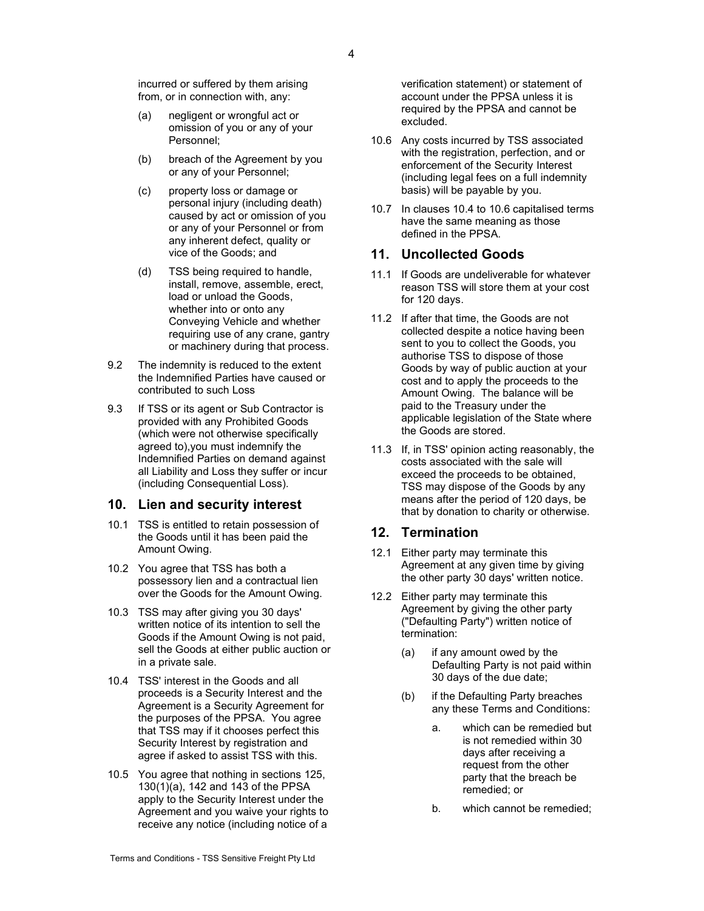incurred or suffered by them arising from, or in connection with, any:

- (a) negligent or wrongful act or omission of you or any of your Personnel;
- (b) breach of the Agreement by you or any of your Personnel;
- (c) property loss or damage or personal injury (including death) caused by act or omission of you or any of your Personnel or from any inherent defect, quality or vice of the Goods; and
- (d) TSS being required to handle, install, remove, assemble, erect, load or unload the Goods, whether into or onto any Conveying Vehicle and whether requiring use of any crane, gantry or machinery during that process.
- 9.2 The indemnity is reduced to the extent the Indemnified Parties have caused or contributed to such Loss
- 9.3 If TSS or its agent or Sub Contractor is provided with any Prohibited Goods (which were not otherwise specifically agreed to),you must indemnify the Indemnified Parties on demand against all Liability and Loss they suffer or incur (including Consequential Loss).

#### 10. Lien and security interest

- 10.1 TSS is entitled to retain possession of the Goods until it has been paid the Amount Owing.
- 10.2 You agree that TSS has both a possessory lien and a contractual lien over the Goods for the Amount Owing.
- 10.3 TSS may after giving you 30 days' written notice of its intention to sell the Goods if the Amount Owing is not paid, sell the Goods at either public auction or in a private sale.
- 10.4 TSS' interest in the Goods and all proceeds is a Security Interest and the Agreement is a Security Agreement for the purposes of the PPSA. You agree that TSS may if it chooses perfect this Security Interest by registration and agree if asked to assist TSS with this.
- 10.5 You agree that nothing in sections 125, 130(1)(a), 142 and 143 of the PPSA apply to the Security Interest under the Agreement and you waive your rights to receive any notice (including notice of a

verification statement) or statement of account under the PPSA unless it is required by the PPSA and cannot be excluded.

- 10.6 Any costs incurred by TSS associated with the registration, perfection, and or enforcement of the Security Interest (including legal fees on a full indemnity basis) will be payable by you.
- 10.7 In clauses 10.4 to 10.6 capitalised terms have the same meaning as those defined in the PPSA.

## 11. Uncollected Goods

- 11.1 If Goods are undeliverable for whatever reason TSS will store them at your cost for 120 days.
- 11.2 If after that time, the Goods are not collected despite a notice having been sent to you to collect the Goods, you authorise TSS to dispose of those Goods by way of public auction at your cost and to apply the proceeds to the Amount Owing. The balance will be paid to the Treasury under the applicable legislation of the State where the Goods are stored.
- 11.3 If, in TSS' opinion acting reasonably, the costs associated with the sale will exceed the proceeds to be obtained, TSS may dispose of the Goods by any means after the period of 120 days, be that by donation to charity or otherwise.

#### 12. Termination

- 12.1 Either party may terminate this Agreement at any given time by giving the other party 30 days' written notice.
- 12.2 Either party may terminate this Agreement by giving the other party ("Defaulting Party") written notice of termination:
	- (a) if any amount owed by the Defaulting Party is not paid within 30 days of the due date;
	- (b) if the Defaulting Party breaches any these Terms and Conditions:
		- a. which can be remedied but is not remedied within 30 days after receiving a request from the other party that the breach be remedied; or
		- b. which cannot be remedied;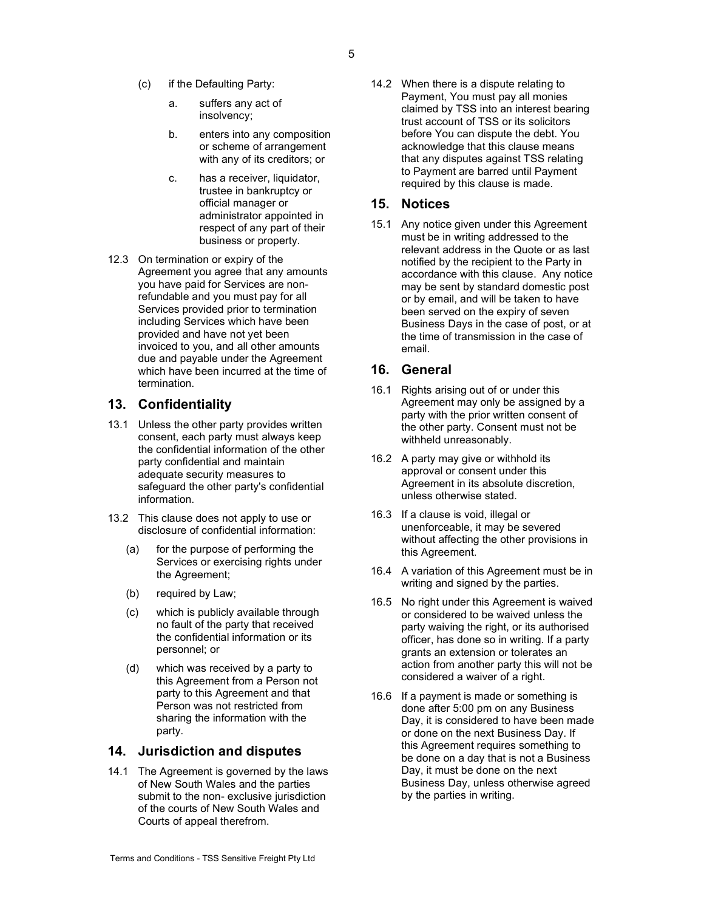- 5
- (c) if the Defaulting Party:
	- a. suffers any act of insolvency;
	- b. enters into any composition or scheme of arrangement with any of its creditors; or
	- c. has a receiver, liquidator, trustee in bankruptcy or official manager or administrator appointed in respect of any part of their business or property.
- 12.3 On termination or expiry of the Agreement you agree that any amounts you have paid for Services are nonrefundable and you must pay for all Services provided prior to termination including Services which have been provided and have not yet been invoiced to you, and all other amounts due and payable under the Agreement which have been incurred at the time of termination.

## 13. Confidentiality

- 13.1 Unless the other party provides written consent, each party must always keep the confidential information of the other party confidential and maintain adequate security measures to safeguard the other party's confidential information.
- 13.2 This clause does not apply to use or disclosure of confidential information:
	- (a) for the purpose of performing the Services or exercising rights under the Agreement;
	- (b) required by Law;
	- (c) which is publicly available through no fault of the party that received the confidential information or its personnel; or
	- (d) which was received by a party to this Agreement from a Person not party to this Agreement and that Person was not restricted from sharing the information with the party.

#### 14. Jurisdiction and disputes

14.1 The Agreement is governed by the laws of New South Wales and the parties submit to the non- exclusive jurisdiction of the courts of New South Wales and Courts of appeal therefrom.

14.2 When there is a dispute relating to Payment, You must pay all monies claimed by TSS into an interest bearing trust account of TSS or its solicitors before You can dispute the debt. You acknowledge that this clause means that any disputes against TSS relating to Payment are barred until Payment required by this clause is made.

## 15. Notices

15.1 Any notice given under this Agreement must be in writing addressed to the relevant address in the Quote or as last notified by the recipient to the Party in accordance with this clause. Any notice may be sent by standard domestic post or by email, and will be taken to have been served on the expiry of seven Business Days in the case of post, or at the time of transmission in the case of email.

## 16. General

- 16.1 Rights arising out of or under this Agreement may only be assigned by a party with the prior written consent of the other party. Consent must not be withheld unreasonably.
- 16.2 A party may give or withhold its approval or consent under this Agreement in its absolute discretion, unless otherwise stated.
- 16.3 If a clause is void, illegal or unenforceable, it may be severed without affecting the other provisions in this Agreement.
- 16.4 A variation of this Agreement must be in writing and signed by the parties.
- 16.5 No right under this Agreement is waived or considered to be waived unless the party waiving the right, or its authorised officer, has done so in writing. If a party grants an extension or tolerates an action from another party this will not be considered a waiver of a right.
- 16.6 If a payment is made or something is done after 5:00 pm on any Business Day, it is considered to have been made or done on the next Business Day. If this Agreement requires something to be done on a day that is not a Business Day, it must be done on the next Business Day, unless otherwise agreed by the parties in writing.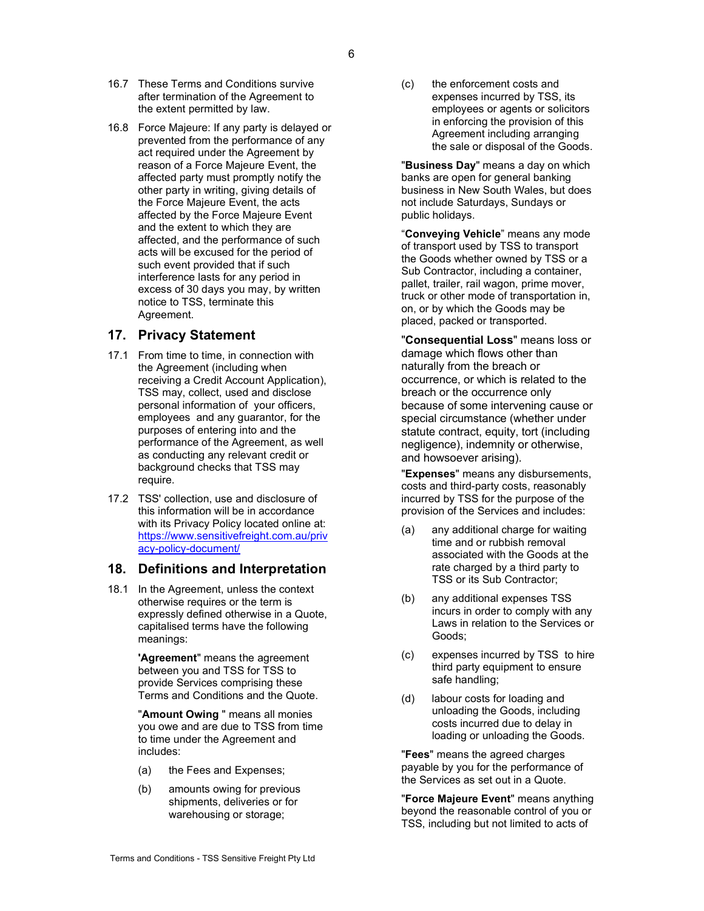- 16.7 These Terms and Conditions survive after termination of the Agreement to the extent permitted by law.
- 16.8 Force Majeure: If any party is delayed or prevented from the performance of any act required under the Agreement by reason of a Force Majeure Event, the affected party must promptly notify the other party in writing, giving details of the Force Majeure Event, the acts affected by the Force Majeure Event and the extent to which they are affected, and the performance of such acts will be excused for the period of such event provided that if such interference lasts for any period in excess of 30 days you may, by written notice to TSS, terminate this Agreement.

## 17. Privacy Statement

- 17.1 From time to time, in connection with the Agreement (including when receiving a Credit Account Application), TSS may, collect, used and disclose personal information of your officers, employees and any guarantor, for the purposes of entering into and the performance of the Agreement, as well as conducting any relevant credit or background checks that TSS may require.
- 17.2 TSS' collection, use and disclosure of this information will be in accordance with its Privacy Policy located online at: https://www.sensitivefreight.com.au/priv acy-policy-document/

## 18. Definitions and Interpretation

18.1 In the Agreement, unless the context otherwise requires or the term is expressly defined otherwise in a Quote, capitalised terms have the following meanings:

> 'Agreement" means the agreement between you and TSS for TSS to provide Services comprising these Terms and Conditions and the Quote.

"Amount Owing " means all monies you owe and are due to TSS from time to time under the Agreement and includes:

- (a) the Fees and Expenses;
- (b) amounts owing for previous shipments, deliveries or for warehousing or storage;

(c) the enforcement costs and expenses incurred by TSS, its employees or agents or solicitors in enforcing the provision of this Agreement including arranging the sale or disposal of the Goods.

"Business Day" means a day on which banks are open for general banking business in New South Wales, but does not include Saturdays, Sundays or public holidays.

"Conveying Vehicle" means any mode of transport used by TSS to transport the Goods whether owned by TSS or a Sub Contractor, including a container, pallet, trailer, rail wagon, prime mover, truck or other mode of transportation in, on, or by which the Goods may be placed, packed or transported.

"Consequential Loss" means loss or damage which flows other than naturally from the breach or occurrence, or which is related to the breach or the occurrence only because of some intervening cause or special circumstance (whether under statute contract, equity, tort (including negligence), indemnity or otherwise, and howsoever arising).

"Expenses" means any disbursements, costs and third-party costs, reasonably incurred by TSS for the purpose of the provision of the Services and includes:

- (a) any additional charge for waiting time and or rubbish removal associated with the Goods at the rate charged by a third party to TSS or its Sub Contractor;
- (b) any additional expenses TSS incurs in order to comply with any Laws in relation to the Services or Goods;
- (c) expenses incurred by TSS to hire third party equipment to ensure safe handling;
- (d) labour costs for loading and unloading the Goods, including costs incurred due to delay in loading or unloading the Goods.

"Fees" means the agreed charges payable by you for the performance of the Services as set out in a Quote.

"Force Majeure Event" means anything beyond the reasonable control of you or TSS, including but not limited to acts of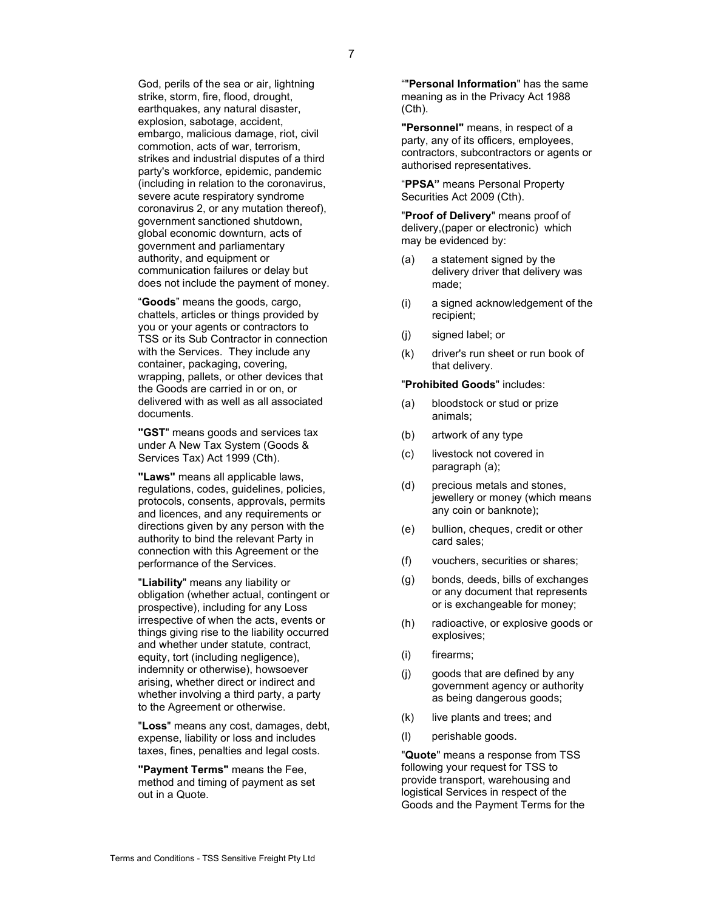God, perils of the sea or air, lightning strike, storm, fire, flood, drought, earthquakes, any natural disaster, explosion, sabotage, accident, embargo, malicious damage, riot, civil commotion, acts of war, terrorism, strikes and industrial disputes of a third party's workforce, epidemic, pandemic (including in relation to the coronavirus, severe acute respiratory syndrome coronavirus 2, or any mutation thereof), government sanctioned shutdown, global economic downturn, acts of government and parliamentary authority, and equipment or communication failures or delay but does not include the payment of money.

"Goods" means the goods, cargo, chattels, articles or things provided by you or your agents or contractors to TSS or its Sub Contractor in connection with the Services. They include any container, packaging, covering, wrapping, pallets, or other devices that the Goods are carried in or on, or delivered with as well as all associated documents.

"GST" means goods and services tax under A New Tax System (Goods & Services Tax) Act 1999 (Cth).

"Laws" means all applicable laws. regulations, codes, guidelines, policies, protocols, consents, approvals, permits and licences, and any requirements or directions given by any person with the authority to bind the relevant Party in connection with this Agreement or the performance of the Services.

"Liability" means any liability or obligation (whether actual, contingent or prospective), including for any Loss irrespective of when the acts, events or things giving rise to the liability occurred and whether under statute, contract, equity, tort (including negligence), indemnity or otherwise), howsoever arising, whether direct or indirect and whether involving a third party, a party to the Agreement or otherwise.

"Loss" means any cost, damages, debt, expense, liability or loss and includes taxes, fines, penalties and legal costs.

"Payment Terms" means the Fee, method and timing of payment as set out in a Quote.

""Personal Information" has the same meaning as in the Privacy Act 1988 (Cth).

"Personnel" means, in respect of a party, any of its officers, employees, contractors, subcontractors or agents or authorised representatives.

"PPSA" means Personal Property Securities Act 2009 (Cth).

"Proof of Delivery" means proof of delivery,(paper or electronic) which may be evidenced by:

- (a) a statement signed by the delivery driver that delivery was made;
- (i) a signed acknowledgement of the recipient;
- (j) signed label; or
- (k) driver's run sheet or run book of that delivery.

#### "Prohibited Goods" includes:

- (a) bloodstock or stud or prize animals;
- (b) artwork of any type
- (c) livestock not covered in paragraph (a);
- (d) precious metals and stones, jewellery or money (which means any coin or banknote);
- (e) bullion, cheques, credit or other card sales;
- (f) vouchers, securities or shares;
- (g) bonds, deeds, bills of exchanges or any document that represents or is exchangeable for money;
- (h) radioactive, or explosive goods or explosives;
- (i) firearms;
- (j) goods that are defined by any government agency or authority as being dangerous goods;
- (k) live plants and trees; and
- (l) perishable goods.

"Quote" means a response from TSS following your request for TSS to provide transport, warehousing and logistical Services in respect of the Goods and the Payment Terms for the